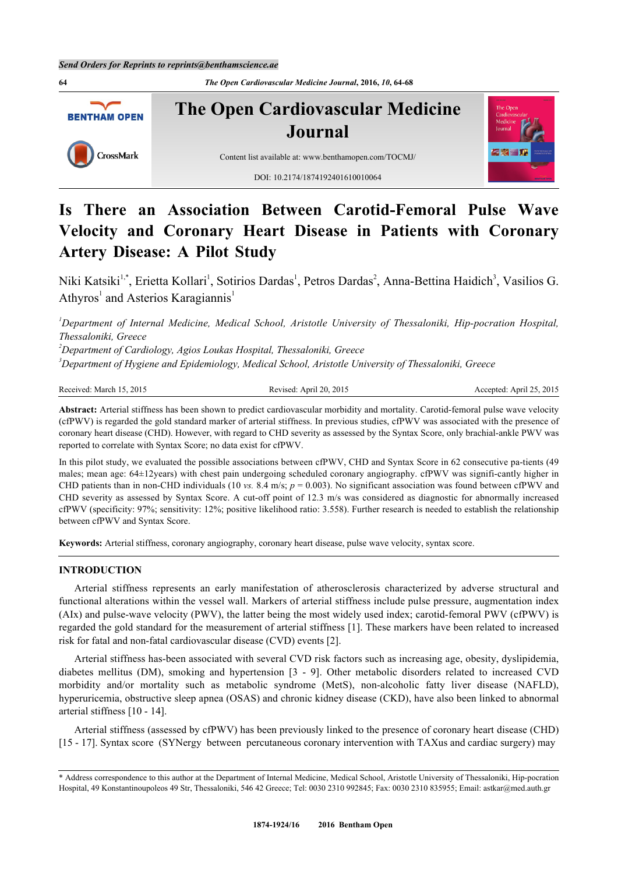**64** *The Open Cardiovascular Medicine Journal***, 2016,** *10***, 64-68 The Open Cardiovascular Medicine BENTHAM OPEN Journal** CrossMark Content list available at: [www.benthamopen.com/TOCMJ/](http://www.benthamopen.com/TOCMJ/) DOI: [10.2174/1874192401610010064](http://dx.doi.org/10.2174/1874192401610010064)

# **Is There an Association Between Carotid-Femoral Pulse Wave Velocity and Coronary Heart Disease in Patients with Coronary Artery Disease: A Pilot Study**

Niki Katsiki<sup>[1](#page-0-0),[\\*](#page-0-1)</sup>, Erietta Kollari<sup>1</sup>, Sotirios Dardas<sup>1</sup>, Petros Dardas<sup>[2](#page-0-2)</sup>, Anna-Bettina Haidich<sup>[3](#page-0-3)</sup>, Vasilios G. Athyros<sup>[1](#page-0-0)</sup> and Asterios Karagiannis<sup>1</sup>

<span id="page-0-0"></span>*<sup>1</sup>Department of Internal Medicine, Medical School, Aristotle University of Thessaloniki, Hip-pocration Hospital, Thessaloniki, Greece*

<span id="page-0-2"></span>*<sup>2</sup>Department of Cardiology, Agios Loukas Hospital, Thessaloniki, Greece*

<span id="page-0-3"></span>*<sup>3</sup>Department of Hygiene and Epidemiology, Medical School, Aristotle University of Thessaloniki, Greece*

#### Received: March 15, 2015 Revised: April 20, 2015 Revised: April 20, 2015 Accepted: April 25, 2015

**Abstract:** Arterial stiffness has been shown to predict cardiovascular morbidity and mortality. Carotid-femoral pulse wave velocity (cfPWV) is regarded the gold standard marker of arterial stiffness. In previous studies, cfPWV was associated with the presence of coronary heart disease (CHD). However, with regard to CHD severity as assessed by the Syntax Score, only brachial-ankle PWV was reported to correlate with Syntax Score; no data exist for cfPWV.

In this pilot study, we evaluated the possible associations between cfPWV, CHD and Syntax Score in 62 consecutive pa-tients (49 males; mean age: 64±12years) with chest pain undergoing scheduled coronary angiography. cfPWV was signifi-cantly higher in CHD patients than in non-CHD individuals (10 *vs.* 8.4 m/s; *p* = 0.003). No significant association was found between cfPWV and CHD severity as assessed by Syntax Score. A cut-off point of 12.3 m/s was considered as diagnostic for abnormally increased cfPWV (specificity: 97%; sensitivity: 12%; positive likelihood ratio: 3.558). Further research is needed to establish the relationship between cfPWV and Syntax Score.

**Keywords:** Arterial stiffness, coronary angiography, coronary heart disease, pulse wave velocity, syntax score.

## **INTRODUCTION**

Arterial stiffness represents an early manifestation of atherosclerosis characterized by adverse structural and functional alterations within the vessel wall. Markers of arterial stiffness include pulse pressure, augmentation index (AIx) and pulse-wave velocity (PWV), the latter being the most widely used index; carotid-femoral PWV (cfPWV) is regarded the gold standard for the measurement of arterial stiffness [[1\]](#page-3-0). These markers have been related to increased risk for fatal and non-fatal cardiovascular disease (CVD) events [\[2](#page-3-1)].

Arterial stiffness has-been associated with several CVD risk factors such as increasing age, obesity, dyslipidemia, diabetes mellitus (DM), smoking and hypertension[[3](#page-3-2) - [9](#page-3-3)]. Other metabolic disorders related to increased CVD morbidity and/or mortality such as metabolic syndrome (MetS), non-alcoholic fatty liver disease (NAFLD), hyperuricemia, obstructive sleep apnea (OSAS) and chronic kidney disease (CKD), have also been linked to abnormal arterial stiffness [[10](#page-4-0) - [14](#page-4-1)].

Arterial stiffness (assessed by cfPWV) has been previously linked to the presence of coronary heart disease (CHD) [\[15](#page-4-2) - [17](#page-4-3)]. Syntax score (SYNergy between percutaneous coronary intervention with TAXus and cardiac surgery) may

<span id="page-0-1"></span><sup>\*</sup> Address correspondence to this author at the Department of Internal Medicine, Medical School, Aristotle University of Thessaloniki, Hip-pocration Hospital, 49 Konstantinoupoleos 49 Str, Thessaloniki, 546 42 Greece; Tel: 0030 2310 992845; Fax: 0030 2310 835955; Email: [astkar@med.auth.gr](mailto:astkar@med.auth.gr)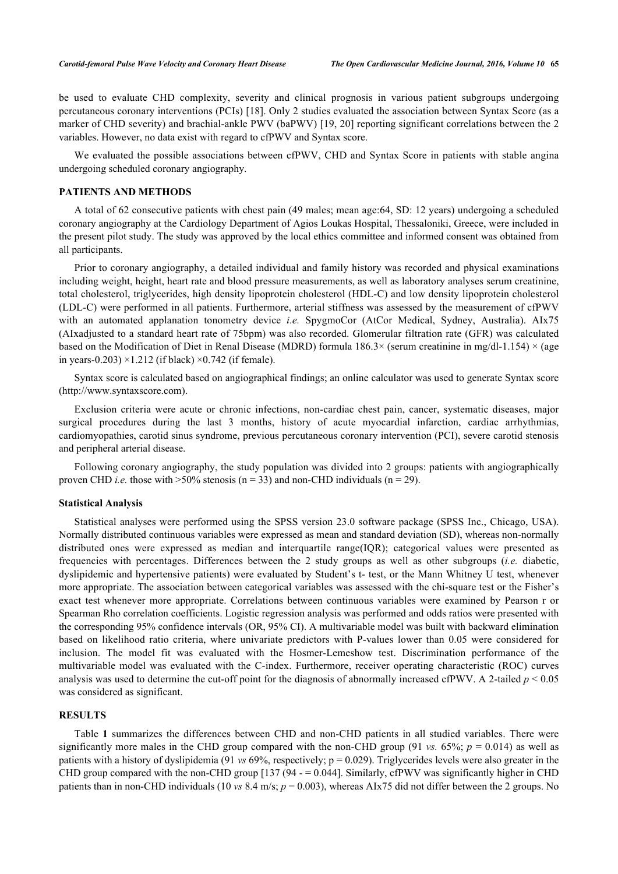be used to evaluate CHD complexity, severity and clinical prognosis in various patient subgroups undergoing percutaneous coronary interventions (PCIs) [\[18\]](#page-4-4). Only 2 studies evaluated the association between Syntax Score (as a marker of CHD severity) and brachial-ankle PWV (baPWV) [[19](#page-4-5), [20\]](#page-4-6) reporting significant correlations between the 2 variables. However, no data exist with regard to cfPWV and Syntax score.

We evaluated the possible associations between cfPWV, CHD and Syntax Score in patients with stable angina undergoing scheduled coronary angiography.

#### **PATIENTS AND METHODS**

A total of 62 consecutive patients with chest pain (49 males; mean age:64, SD: 12 years) undergoing a scheduled coronary angiography at the Cardiology Department of Agios Loukas Hospital, Thessaloniki, Greece, were included in the present pilot study. The study was approved by the local ethics committee and informed consent was obtained from all participants.

Prior to coronary angiography, a detailed individual and family history was recorded and physical examinations including weight, height, heart rate and blood pressure measurements, as well as laboratory analyses serum creatinine, total cholesterol, triglycerides, high density lipoprotein cholesterol (HDL-C) and low density lipoprotein cholesterol (LDL-C) were performed in all patients. Furthermore, arterial stiffness was assessed by the measurement of cfPWV with an automated applanation tonometry device *i.e.* SpygmoCor (AtCor Medical, Sydney, Australia). AIx75 (AIxadjusted to a standard heart rate of 75bpm) was also recorded. Glomerular filtration rate (GFR) was calculated based on the Modification of Diet in Renal Disease (MDRD) formula  $186.3\times$  (serum creatinine in mg/dl-1.154)  $\times$  (age in years-0.203)  $\times$ 1.212 (if black)  $\times$ 0.742 (if female).

Syntax score is calculated based on angiographical findings; an online calculator was used to generate Syntax score [\(http://www.syntaxscore.com](http://www.syntaxscore.com)).

Exclusion criteria were acute or chronic infections, non-cardiac chest pain, cancer, systematic diseases, major surgical procedures during the last 3 months, history of acute myocardial infarction, cardiac arrhythmias, cardiomyopathies, carotid sinus syndrome, previous percutaneous coronary intervention (PCI), severe carotid stenosis and peripheral arterial disease.

Following coronary angiography, the study population was divided into 2 groups: patients with angiographically proven CHD *i.e.* those with  $>50\%$  stenosis (n = 33) and non-CHD individuals (n = 29).

#### **Statistical Analysis**

Statistical analyses were performed using the SPSS version 23.0 software package (SPSS Inc., Chicago, USA). Normally distributed continuous variables were expressed as mean and standard deviation (SD), whereas non-normally distributed ones were expressed as median and interquartile range(IQR); categorical values were presented as frequencies with percentages. Differences between the 2 study groups as well as other subgroups (*i.e.* diabetic, dyslipidemic and hypertensive patients) were evaluated by Student's t- test, or the Mann Whitney U test, whenever more appropriate. The association between categorical variables was assessed with the chi-square test or the Fisher's exact test whenever more appropriate. Correlations between continuous variables were examined by Pearson r or Spearman Rho correlation coefficients. Logistic regression analysis was performed and odds ratios were presented with the corresponding 95% confidence intervals (OR, 95% CI). A multivariable model was built with backward elimination based on likelihood ratio criteria, where univariate predictors with P-values lower than 0.05 were considered for inclusion. The model fit was evaluated with the Hosmer-Lemeshow test. Discrimination performance of the multivariable model was evaluated with the C-index. Furthermore, receiver operating characteristic (ROC) curves analysis was used to determine the cut-off point for the diagnosis of abnormally increased cfPWV. A 2-tailed  $p < 0.05$ was considered as significant.

## **RESULTS**

Table**1** summarizes the differences between CHD and non-CHD patients in all studied variables. There were significantly more males in the CHD group compared with the non-CHD group (91 *vs.* 65%;  $p = 0.014$ ) as well as patients with a history of dyslipidemia (91 *vs* 69%, respectively; p = 0.029). Triglycerides levels were also greater in the CHD group compared with the non-CHD group  $[137 (94 - 0.044]$  $[137 (94 - 0.044]$  $[137 (94 - 0.044]$ . Similarly, cfPWV was significantly higher in CHD patients than in non-CHD individuals (10 *vs* 8.4 m/s; *p* = 0.003), whereas AIx75 did not differ between the 2 groups. No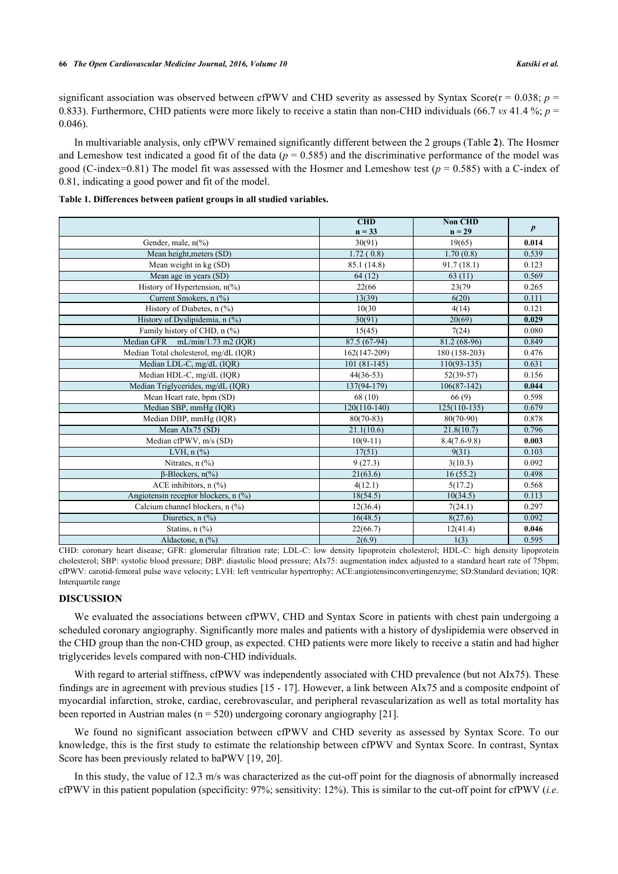significant association was observed between cfPWV and CHD severity as assessed by Syntax Score( $r = 0.038$ ;  $p =$ 0.833). Furthermore, CHD patients were more likely to receive a statin than non-CHD individuals (66.7 *vs* 41.4 %; *p* = 0.046).

In multivariable analysis, only cfPWV remained significantly different between the 2 groups (Table **[2](#page-3-4)**). The Hosmer and Lemeshow test indicated a good fit of the data ( $p = 0.585$ ) and the discriminative performance of the model was good (C-index=0.81) The model fit was assessed with the Hosmer and Lemeshow test ( $p = 0.585$ ) with a C-index of 0.81, indicating a good power and fit of the model.

|                                                 | CHD            | <b>Non CHD</b> |                  |
|-------------------------------------------------|----------------|----------------|------------------|
|                                                 | $n = 33$       | $n = 29$       | $\boldsymbol{p}$ |
| Gender, male, $n\frac{6}{6}$                    | 30(91)         | 19(65)         | 0.014            |
| Mean height, meters (SD)                        | 1.72(0.8)      | 1.70(0.8)      | 0.539            |
| Mean weight in kg (SD)                          | 85.1 (14.8)    | 91.7(18.1)     | 0.123            |
| Mean age in years (SD)                          | 64(12)         | 63(11)         | 0.569            |
| History of Hypertension, n(%)                   | 22(66)         | 23(79)         | 0.265            |
| Current Smokers, n (%)                          | 13(39)         | 6(20)          | 0.111            |
| History of Diabetes, n (%)                      | 10(30)         | 4(14)          | 0.121            |
| History of Dyslipidemia, n (%)                  | 30(91)         | 20(69)         | 0.029            |
| Family history of CHD, n (%)                    | 15(45)         | 7(24)          | 0.080            |
| Median GFR mL/min/1.73 m2 (IQR)                 | 87.5 (67-94)   | 81.2 (68-96)   | 0.849            |
| Median Total cholesterol, mg/dL (IQR)           | 162(147-209)   | 180 (158-203)  | 0.476            |
| Median LDL-C, mg/dL (IQR)                       | $101(81-145)$  | $110(93-135)$  | 0.631            |
| Median HDL-C, mg/dL (IQR)                       | $44(36-53)$    | $52(39-57)$    | 0.156            |
| Median Triglycerides, mg/dL (IQR)               | $137(94-179)$  | $106(87-142)$  | 0.044            |
| Mean Heart rate, bpm (SD)                       | 68 (10)        | 66(9)          | 0.598            |
| Median SBP, mmHg (IQR)                          | $120(110-140)$ | $125(110-135)$ | 0.679            |
| Median DBP, mmHg (IQR)                          | $80(70-83)$    | $80(70-90)$    | 0.878            |
| Mean AIx75 (SD)                                 | 21.1(10.6)     | 21.8(10.7)     | 0.796            |
| Median cfPWV, m/s (SD)                          | $10(9-11)$     | $8.4(7.6-9.8)$ | 0.003            |
| LVH, $n$ $(\%)$                                 | 17(51)         | 9(31)          | 0.103            |
| Nitrates, $n$ $\left(\frac{9}{6}\right)$        | 9(27.3)        | 3(10.3)        | 0.092            |
| $\beta$ -Blockers, n(%)                         | 21(63.6)       | 16(55.2)       | 0.498            |
| ACE inhibitors, $n$ $\frac{6}{6}$               | 4(12.1)        | 5(17.2)        | 0.568            |
| Angiotensin receptor blockers, $n \binom{0}{0}$ | 18(54.5)       | 10(34.5)       | 0.113            |
| Calcium channel blockers, n (%)                 | 12(36.4)       | 7(24.1)        | 0.297            |
| Diuretics, $n$ $\left(\frac{9}{0}\right)$       | 16(48.5)       | 8(27.6)        | 0.092            |
| Statins, $n$ $(\%)$                             | 22(66.7)       | 12(41.4)       | 0.046            |
| Aldactone, n (%)                                | 2(6.9)         | 1(3)           | 0.595            |

<span id="page-2-0"></span>

| Table 1. Differences between patient groups in all studied variables. |  |  |  |
|-----------------------------------------------------------------------|--|--|--|
|                                                                       |  |  |  |

CHD: coronary heart disease; GFR: glomerular filtration rate; LDL-C: low density lipoprotein cholesterol; HDL-C: high density lipoprotein cholesterol; SBP: systolic blood pressure; DBP: diastolic blood pressure; AIx75: augmentation index adjusted to a standard heart rate of 75bpm; cfPWV: carotid-femoral pulse wave velocity; LVH: left ventricular hypertrophy; ACE:angiotensinconvertingenzyme; SD:Standard deviation; IQR: Interquartile range

#### **DISCUSSION**

We evaluated the associations between cfPWV, CHD and Syntax Score in patients with chest pain undergoing a scheduled coronary angiography. Significantly more males and patients with a history of dyslipidemia were observed in the CHD group than the non-CHD group, as expected. CHD patients were more likely to receive a statin and had higher triglycerides levels compared with non-CHD individuals.

With regard to arterial stiffness, cfPWV was independently associated with CHD prevalence (but not AIx75). These findings are in agreement with previous studies [\[15](#page-4-2) - [17](#page-4-3)]. However, a link between AIx75 and a composite endpoint of myocardial infarction, stroke, cardiac, cerebrovascular, and peripheral revascularization as well as total mortality has been reported in Austrian males ( $n = 520$ ) undergoing coronary angiography [[21\]](#page-4-7).

We found no significant association between cfPWV and CHD severity as assessed by Syntax Score. To our knowledge, this is the first study to estimate the relationship between cfPWV and Syntax Score. In contrast, Syntax Score has been previously related to baPWV [\[19](#page-4-5), [20](#page-4-6)].

In this study, the value of 12.3 m/s was characterized as the cut-off point for the diagnosis of abnormally increased cfPWV in this patient population (specificity: 97%; sensitivity: 12%). This is similar to the cut-off point for cfPWV (*i.e.*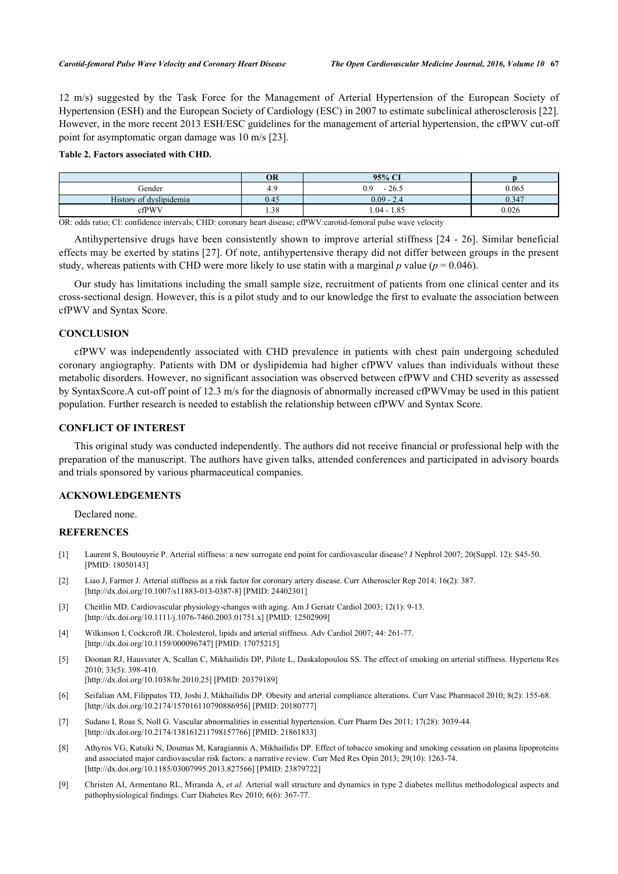12 m/s) suggested by the Task Force for the Management of Arterial Hypertension of the European Society of Hypertension (ESH) and the European Society of Cardiology (ESC) in 2007 to estimate subclinical atherosclerosis [[22\]](#page-4-8). However, in the more recent 2013 ESH/ESC guidelines for the management of arterial hypertension, the cfPWV cut-off point for asymptomatic organ damage was 10 m/s [\[23](#page-4-9)].

## <span id="page-3-4"></span>**Table 2. Factors associated with CHD.**

| <b>OR</b> | 95% CI                  |                                 |
|-----------|-------------------------|---------------------------------|
| 4.9       | $-26.5$<br>0.9          | 0.065                           |
| 0.45      | $0.09 - 2.4$            | 0.347                           |
| 1.38      | $1.04 - 1.85$           | 0.026                           |
|           | $\sim$ $\sim$<br>$\sim$ | ____<br>.<br>.<br>$\sim$ $\sim$ |

OR: odds ratio; CI: confidence intervals; CHD: coronary heart disease; cfPWV:carotid-femoral pulse wave velocity

Antihypertensive drugs have been consistently shown to improve arterial stiffness [[24](#page-4-10) - [26\]](#page-4-11). Similar beneficial effects may be exerted by statins [\[27](#page-4-12)]. Of note, antihypertensive therapy did not differ between groups in the present study, whereas patients with CHD were more likely to use statin with a marginal  $p$  value ( $p = 0.046$ ).

Our study has limitations including the small sample size, recruitment of patients from one clinical center and its cross-sectional design. However, this is a pilot study and to our knowledge the first to evaluate the association between cfPWV and Syntax Score.

# **CONCLUSION**

cfPWV was independently associated with CHD prevalence in patients with chest pain undergoing scheduled coronary angiography. Patients with DM or dyslipidemia had higher cfPWV values than individuals without these metabolic disorders. However, no significant association was observed between cfPWV and CHD severity as assessed by SyntaxScore.A cut-off point of 12.3 m/s for the diagnosis of abnormally increased cfPWVmay be used in this patient population. Further research is needed to establish the relationship between cfPWV and Syntax Score.

# **CONFLICT OF INTEREST**

This original study was conducted independently. The authors did not receive financial or professional help with the preparation of the manuscript. The authors have given talks, attended conferences and participated in advisory boards and trials sponsored by various pharmaceutical companies.

# **ACKNOWLEDGEMENTS**

Declared none.

## **REFERENCES**

- <span id="page-3-0"></span>[1] Laurent S, Boutouyrie P. Arterial stiffness: a new surrogate end point for cardiovascular disease? J Nephrol 2007; 20(Suppl. 12): S45-50. [PMID: [18050143\]](http://www.ncbi.nlm.nih.gov/pubmed/18050143)
- <span id="page-3-1"></span>[2] Liao J, Farmer J. Arterial stiffness as a risk factor for coronary artery disease. Curr Atheroscler Rep 2014; 16(2): 387. [\[http://dx.doi.org/10.1007/s11883-013-0387-8\]](http://dx.doi.org/10.1007/s11883-013-0387-8) [PMID: [24402301](http://www.ncbi.nlm.nih.gov/pubmed/24402301)]
- <span id="page-3-2"></span>[3] Cheitlin MD. Cardiovascular physiology-changes with aging. Am J Geriatr Cardiol 2003; 12(1): 9-13. [\[http://dx.doi.org/10.1111/j.1076-7460.2003.01751.x\]](http://dx.doi.org/10.1111/j.1076-7460.2003.01751.x) [PMID: [12502909](http://www.ncbi.nlm.nih.gov/pubmed/12502909)]
- [4] Wilkinson I, Cockcroft JR. Cholesterol, lipids and arterial stiffness. Adv Cardiol 2007; 44: 261-77. [\[http://dx.doi.org/10.1159/000096747\]](http://dx.doi.org/10.1159/000096747) [PMID: [17075215](http://www.ncbi.nlm.nih.gov/pubmed/17075215)]
- [5] Doonan RJ, Hausvater A, Scallan C, Mikhailidis DP, Pilote L, Daskalopoulou SS. The effect of smoking on arterial stiffness. Hypertens Res 2010; 33(5): 398-410. [\[http://dx.doi.org/10.1038/hr.2010.25](http://dx.doi.org/10.1038/hr.2010.25)] [PMID: [20379189](http://www.ncbi.nlm.nih.gov/pubmed/20379189)]
- [6] Seifalian AM, Filippatos TD, Joshi J, Mikhailidis DP. Obesity and arterial compliance alterations. Curr Vasc Pharmacol 2010; 8(2): 155-68. [\[http://dx.doi.org/10.2174/157016110790886956\]](http://dx.doi.org/10.2174/157016110790886956) [PMID: [20180777](http://www.ncbi.nlm.nih.gov/pubmed/20180777)]
- [7] Sudano I, Roas S, Noll G. Vascular abnormalities in essential hypertension. Curr Pharm Des 2011; 17(28): 3039-44. [\[http://dx.doi.org/10.2174/138161211798157766\]](http://dx.doi.org/10.2174/138161211798157766) [PMID: [21861833](http://www.ncbi.nlm.nih.gov/pubmed/21861833)]
- [8] Athyros VG, Katsiki N, Doumas M, Karagiannis A, Mikhailidis DP. Effect of tobacco smoking and smoking cessation on plasma lipoproteins and associated major cardiovascular risk factors: a narrative review. Curr Med Res Opin 2013; 29(10): 1263-74. [\[http://dx.doi.org/10.1185/03007995.2013.827566\]](http://dx.doi.org/10.1185/03007995.2013.827566) [PMID: [23879722](http://www.ncbi.nlm.nih.gov/pubmed/23879722)]
- <span id="page-3-3"></span>[9] Christen AI, Armentano RL, Miranda A, *et al.* Arterial wall structure and dynamics in type 2 diabetes mellitus methodological aspects and pathophysiological findings. Curr Diabetes Rev 2010; 6(6): 367-77.